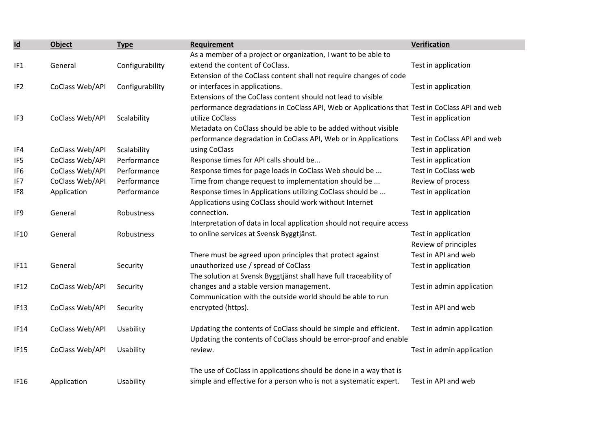| $\underline{\mathsf{Id}}$ | <b>Object</b>   | <b>Type</b>     | Requirement                                                                                   | Verification                |
|---------------------------|-----------------|-----------------|-----------------------------------------------------------------------------------------------|-----------------------------|
|                           |                 |                 | As a member of a project or organization, I want to be able to                                |                             |
| IF <sub>1</sub>           | General         | Configurability | extend the content of CoClass.                                                                | Test in application         |
|                           |                 |                 | Extension of the CoClass content shall not require changes of code                            |                             |
| IF <sub>2</sub>           | CoClass Web/API | Configurability | or interfaces in applications.                                                                | Test in application         |
|                           |                 |                 | Extensions of the CoClass content should not lead to visible                                  |                             |
|                           |                 |                 | performance degradations in CoClass API, Web or Applications that Test in CoClass API and web |                             |
| IF3                       | CoClass Web/API | Scalability     | utilize CoClass                                                                               | Test in application         |
|                           |                 |                 | Metadata on CoClass should be able to be added without visible                                |                             |
|                           |                 |                 | performance degradation in CoClass API, Web or in Applications                                | Test in CoClass API and web |
| IF4                       | CoClass Web/API | Scalability     | using CoClass                                                                                 | Test in application         |
| IF <sub>5</sub>           | CoClass Web/API | Performance     | Response times for API calls should be                                                        | Test in application         |
| IF <sub>6</sub>           | CoClass Web/API | Performance     | Response times for page loads in CoClass Web should be                                        | Test in CoClass web         |
| IF7                       | CoClass Web/API | Performance     | Time from change request to implementation should be                                          | Review of process           |
| IF <sub>8</sub>           | Application     | Performance     | Response times in Applications utilizing CoClass should be                                    | Test in application         |
|                           |                 |                 | Applications using CoClass should work without Internet                                       |                             |
| IF9                       | General         | Robustness      | connection.                                                                                   | Test in application         |
|                           |                 |                 | Interpretation of data in local application should not require access                         |                             |
| <b>IF10</b>               | General         | Robustness      | to online services at Svensk Byggtjänst.                                                      | Test in application         |
|                           |                 |                 |                                                                                               | Review of principles        |
|                           |                 |                 | There must be agreed upon principles that protect against                                     | Test in API and web         |
| <b>IF11</b>               | General         | Security        | unauthorized use / spread of CoClass                                                          | Test in application         |
|                           |                 |                 | The solution at Svensk Byggtjänst shall have full traceability of                             |                             |
| <b>IF12</b>               | CoClass Web/API | Security        | changes and a stable version management.                                                      | Test in admin application   |
|                           |                 |                 | Communication with the outside world should be able to run                                    |                             |
| IF <sub>13</sub>          | CoClass Web/API | Security        | encrypted (https).                                                                            | Test in API and web         |
| <b>IF14</b>               | CoClass Web/API | Usability       | Updating the contents of CoClass should be simple and efficient.                              | Test in admin application   |
|                           |                 |                 | Updating the contents of CoClass should be error-proof and enable                             |                             |
| <b>IF15</b>               | CoClass Web/API | Usability       | review.                                                                                       | Test in admin application   |
|                           |                 |                 |                                                                                               |                             |
|                           |                 |                 | The use of CoClass in applications should be done in a way that is                            |                             |
| <b>IF16</b>               | Application     | Usability       | simple and effective for a person who is not a systematic expert.                             | Test in API and web         |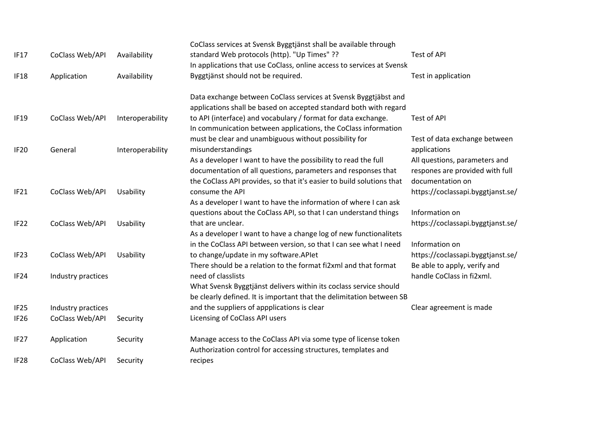|                  |                    |                  | CoClass services at Svensk Byggtjänst shall be available through      |                                   |
|------------------|--------------------|------------------|-----------------------------------------------------------------------|-----------------------------------|
| IF17             | CoClass Web/API    | Availability     | standard Web protocols (http). "Up Times" ??                          | Test of API                       |
|                  |                    |                  | In applications that use CoClass, online access to services at Svensk |                                   |
| IF <sub>18</sub> | Application        | Availability     | Byggtjänst should not be required.                                    | Test in application               |
|                  |                    |                  | Data exchange between CoClass services at Svensk Byggtjäbst and       |                                   |
|                  |                    |                  | applications shall be based on accepted standard both with regard     |                                   |
| <b>IF19</b>      | CoClass Web/API    | Interoperability | to API (interface) and vocabulary / format for data exchange.         | <b>Test of API</b>                |
|                  |                    |                  | In communication between applications, the CoClass information        |                                   |
|                  |                    |                  | must be clear and unambiguous without possibility for                 | Test of data exchange between     |
| IF <sub>20</sub> | General            | Interoperability | misunderstandings                                                     | applications                      |
|                  |                    |                  | As a developer I want to have the possibility to read the full        | All questions, parameters and     |
|                  |                    |                  | documentation of all questions, parameters and responses that         | respones are provided with full   |
|                  |                    |                  | the CoClass API provides, so that it's easier to build solutions that | documentation on                  |
| IF <sub>21</sub> | CoClass Web/API    | Usability        | consume the API                                                       | https://coclassapi.byggtjanst.se/ |
|                  |                    |                  | As a developer I want to have the information of where I can ask      |                                   |
|                  |                    |                  | questions about the CoClass API, so that I can understand things      | Information on                    |
| IF22             | CoClass Web/API    | Usability        | that are unclear.                                                     | https://coclassapi.byggtjanst.se/ |
|                  |                    |                  | As a developer I want to have a change log of new functionalitets     |                                   |
|                  |                    |                  | in the CoClass API between version, so that I can see what I need     | Information on                    |
| IF <sub>23</sub> | CoClass Web/API    | Usability        | to change/update in my software.APlet                                 | https://coclassapi.byggtjanst.se/ |
|                  |                    |                  | There should be a relation to the format fi2xml and that format       | Be able to apply, verify and      |
| IF <sub>24</sub> | Industry practices |                  | need of classlists                                                    | handle CoClass in fi2xml.         |
|                  |                    |                  | What Svensk Byggtjänst delivers within its coclass service should     |                                   |
|                  |                    |                  | be clearly defined. It is important that the delimitation between SB  |                                   |
| IF <sub>25</sub> | Industry practices |                  | and the suppliers of appplications is clear                           | Clear agreement is made           |
| IF <sub>26</sub> | CoClass Web/API    | Security         | Licensing of CoClass API users                                        |                                   |
| IF <sub>27</sub> | Application        | Security         | Manage access to the CoClass API via some type of license token       |                                   |
|                  |                    |                  | Authorization control for accessing structures, templates and         |                                   |
| IF <sub>28</sub> | CoClass Web/API    | Security         | recipes                                                               |                                   |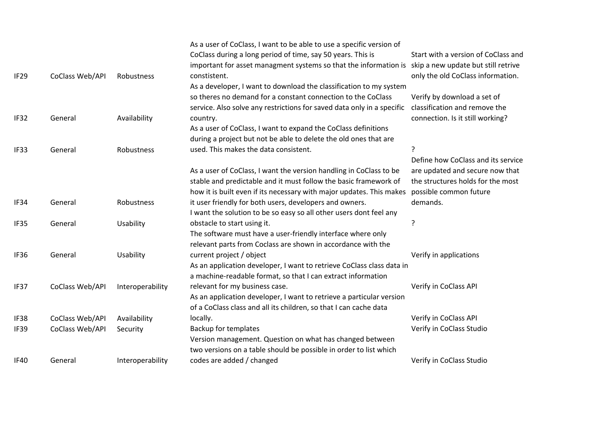| IF <sub>29</sub> | CoClass Web/API | Robustness       | As a user of CoClass, I want to be able to use a specific version of<br>CoClass during a long period of time, say 50 years. This is<br>important for asset managment systems so that the information is<br>constistent.<br>As a developer, I want to download the classification to my system<br>so theres no demand for a constant connection to the CoClass<br>service. Also solve any restrictions for saved data only in a specific | Start with a version of CoClass and<br>skip a new update but still retrive<br>only the old CoClass information.<br>Verify by download a set of<br>classification and remove the |
|------------------|-----------------|------------------|-----------------------------------------------------------------------------------------------------------------------------------------------------------------------------------------------------------------------------------------------------------------------------------------------------------------------------------------------------------------------------------------------------------------------------------------|---------------------------------------------------------------------------------------------------------------------------------------------------------------------------------|
| IF32             | General         | Availability     | country.                                                                                                                                                                                                                                                                                                                                                                                                                                | connection. Is it still working?                                                                                                                                                |
|                  |                 |                  | As a user of CoClass, I want to expand the CoClass definitions                                                                                                                                                                                                                                                                                                                                                                          |                                                                                                                                                                                 |
|                  |                 |                  | during a project but not be able to delete the old ones that are                                                                                                                                                                                                                                                                                                                                                                        |                                                                                                                                                                                 |
| IF33             | General         | Robustness       | used. This makes the data consistent.                                                                                                                                                                                                                                                                                                                                                                                                   | 7                                                                                                                                                                               |
|                  |                 |                  |                                                                                                                                                                                                                                                                                                                                                                                                                                         | Define how CoClass and its service                                                                                                                                              |
|                  |                 |                  | As a user of CoClass, I want the version handling in CoClass to be                                                                                                                                                                                                                                                                                                                                                                      | are updated and secure now that                                                                                                                                                 |
|                  |                 |                  | stable and predictable and it must follow the basic framework of                                                                                                                                                                                                                                                                                                                                                                        | the structures holds for the most                                                                                                                                               |
|                  |                 |                  | how it is built even if its necessary with major updates. This makes                                                                                                                                                                                                                                                                                                                                                                    | possible common future<br>demands.                                                                                                                                              |
| IF34             | General         | Robustness       | it user friendly for both users, developers and owners.                                                                                                                                                                                                                                                                                                                                                                                 |                                                                                                                                                                                 |
|                  | General         |                  | I want the solution to be so easy so all other users dont feel any<br>obstacle to start using it.                                                                                                                                                                                                                                                                                                                                       | ?                                                                                                                                                                               |
| IF35             |                 | Usability        | The software must have a user-friendly interface where only                                                                                                                                                                                                                                                                                                                                                                             |                                                                                                                                                                                 |
|                  |                 |                  | relevant parts from Coclass are shown in accordance with the                                                                                                                                                                                                                                                                                                                                                                            |                                                                                                                                                                                 |
| IF36             | General         | Usability        | current project / object                                                                                                                                                                                                                                                                                                                                                                                                                | Verify in applications                                                                                                                                                          |
|                  |                 |                  | As an application developer, I want to retrieve CoClass class data in                                                                                                                                                                                                                                                                                                                                                                   |                                                                                                                                                                                 |
|                  |                 |                  | a machine-readable format, so that I can extract information                                                                                                                                                                                                                                                                                                                                                                            |                                                                                                                                                                                 |
| IF37             | CoClass Web/API | Interoperability | relevant for my business case.                                                                                                                                                                                                                                                                                                                                                                                                          | Verify in CoClass API                                                                                                                                                           |
|                  |                 |                  | As an application developer, I want to retrieve a particular version                                                                                                                                                                                                                                                                                                                                                                    |                                                                                                                                                                                 |
|                  |                 |                  | of a CoClass class and all its children, so that I can cache data                                                                                                                                                                                                                                                                                                                                                                       |                                                                                                                                                                                 |
| IF38             | CoClass Web/API | Availability     | locally.                                                                                                                                                                                                                                                                                                                                                                                                                                | Verify in CoClass API                                                                                                                                                           |
| IF39             | CoClass Web/API | Security         | Backup for templates                                                                                                                                                                                                                                                                                                                                                                                                                    | Verify in CoClass Studio                                                                                                                                                        |
|                  |                 |                  | Version management. Question on what has changed between                                                                                                                                                                                                                                                                                                                                                                                |                                                                                                                                                                                 |
|                  |                 |                  | two versions on a table should be possible in order to list which                                                                                                                                                                                                                                                                                                                                                                       |                                                                                                                                                                                 |
| <b>IF40</b>      | General         | Interoperability | codes are added / changed                                                                                                                                                                                                                                                                                                                                                                                                               | Verify in CoClass Studio                                                                                                                                                        |